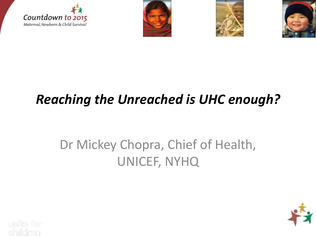







# *Reaching the Unreached is UHC enough?*

# Dr Mickey Chopra, Chief of Health, UNICEF, NYHQ

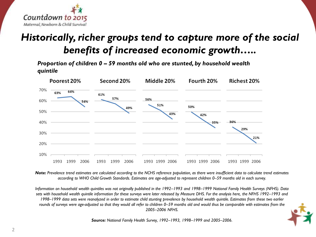

### *Historically, richer groups tend to capture more of the social benefits of increased economic growth…..*

*Proportion of children 0 – 59 months old who are stunted, by household wealth quintile*



*Note: Prevalence trend estimates are calculated according to the NCHS reference population, as there were insufficient data to calculate trend estimates according to WHO Child Growth Standards. Estimates are age-adjusted to represent children 0–59 months old in each survey.*

*Information on household wealth quintiles was not originally published in the 1992–1993 and 1998–1999 National Family Health Surveys (NFHS). Data sets with household wealth quintile information for these surveys were later released by Measure DHS. For the analysis here, the NFHS 1992–1993 and 1998–1999 data sets were reanalyzed in order to estimate child stunting prevalence by household wealth quintile. Estimates from these two earlier*  rounds of surveys were age-adjusted so that they would all refer to children 0–59 months old and would thus be comparable with estimates from the *2005–2006 NFHS.*



*Source: National Family Health Survey, 1992–1993, 1998–1999 and 2005–2006.*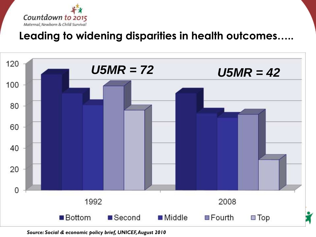

### **Leading to widening disparities in health outcomes…..**



*Source: Social & economic policy brief, UNICEF, August 2010*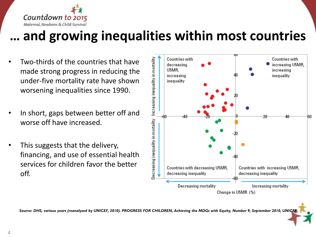

## **… and growing inequalities within most countries**

- Two-thirds of the countries that have made strong progress in reducing the under-five mortality rate have shown worsening inequalities since 1990.
- In short, gaps between better off and worse off have increased.
- This suggests that the delivery, financing, and use of essential health services for children favor the better off.



*Source: DHS, various years (reanalysed by UNICEF, 2010). PROGRESS FOR CHILDREN, Achieving the MDGs with Equity, Number 9, September 2010, UNICEF*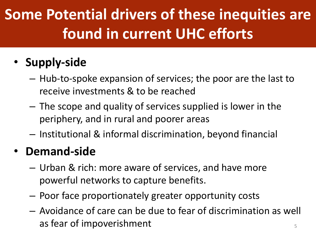# **Some Potential drivers of these inequities are found in current UHC efforts**

## • **Supply-side**

- Hub-to-spoke expansion of services; the poor are the last to receive investments & to be reached
- The scope and quality of services supplied is lower in the periphery, and in rural and poorer areas
- Institutional & informal discrimination, beyond financial

### • **Demand-side**

- Urban & rich: more aware of services, and have more powerful networks to capture benefits.
- Poor face proportionately greater opportunity costs
- Avoidance of care can be due to fear of discrimination as well as fear of impoverishment  $\overline{5}$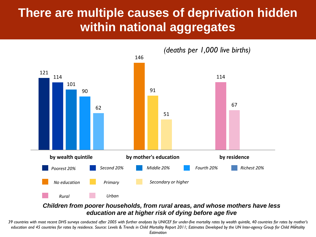### **There are multiple causes of deprivation hidden within national aggregates**



#### *Children from poorer households, from rural areas, and whose mothers have less education are at higher risk of dying before age five*

6 *education and 45 countries for rates by residence. Source: Levels & Trends in Child Mortality Report 2011; Estimates Developed by the UN Inter-agency Group for Child Mortality 39 countries with most recent DHS surveys conducted after 2005 with further analyses by UNICEF for under-five mortality rates by wealth quintile, 40 countries for rates by mother's* 

*Estimation*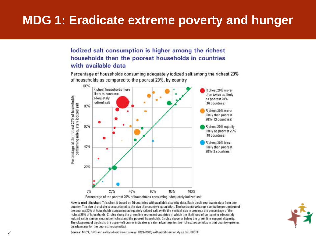### **MDG 1: Eradicate extreme poverty and hunger**

lodized salt consumption is higher among the richest households than the poorest households in countries with available data

Percentage of households consuming adequately iodized salt among the richest 20% of households as compared to the poorest 20%, by country



Percentage of the poorest 20% of households consuming adequately iodized salt

How to read this chart: This chart is based on 50 countries with available disparity data. Each circle represents data from one country. The size of a circle is proportional to the size of a country's population. The horizontal axis represents the percentage of the poorest 20% of households consuming adequately iodized salt, while the vertical axis represents the percentage of the richest 20% of households. Circles along the green line represent countries in which the likelihood of consuming adequately iodized salt is similar among the richest and the poorest households. Circles above or below the green line suggest disparity. The closeness of circles to the upper-left corner indicates greater advantage for the richest households in that country (greater disadvantage for the poorest households).



Source: MICS, DHS and national nutrition surveys, 2003-2009, with additional analysis by UNICEF.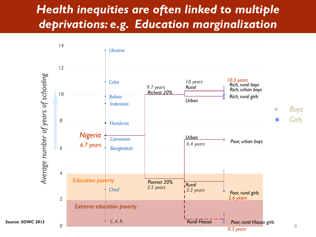### *Health inequities are often linked to multiple deprivations: e.g. Education marginalization*

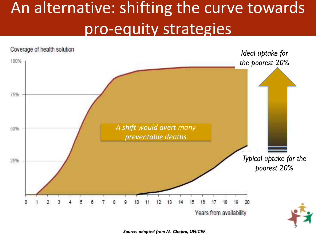# An alternative: shifting the curve towards pro-equity strategies



*Source: adapted from M. Chopra, UNICEF*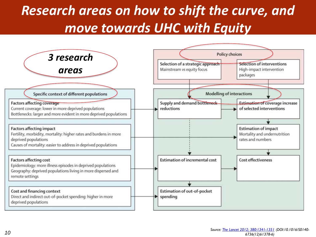# *Research areas on how to shift the curve, and move towards UHC with Equity*

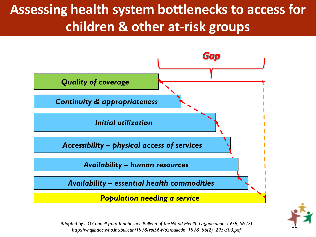# **Assessing health system bottlenecks to access for children & other at-risk groups**





<sup>11</sup> *Adapted by T O'Connell from Tanahashi T. Bulletin of the World Health Organization, 1978, 56 (2) http://whqlibdoc.who.int/bulletin/1978/Vol56-No2/bulletin\_1978\_56(2)\_295-303.pdf*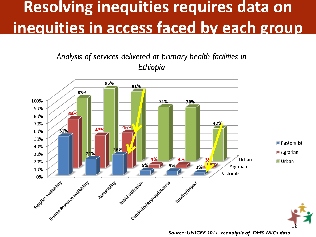# **Resolving inequities requires data on inequities in access faced by each group**

*Analysis of services delivered at primary health facilities in Ethiopia*



*Source: UNICEF 2011 reanalysis of DHS. MICs data*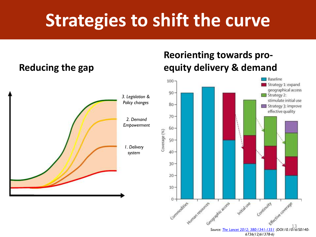# **Strategies to shift the curve**

#### **Reducing the gap**



#### **Reorienting towards proequity delivery & demand**

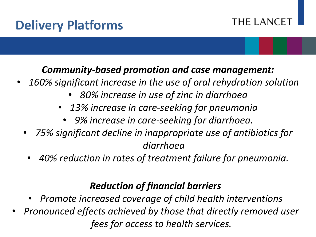## **Delivery Platforms**

#### THE LANCE<sup>-</sup>

### *Community-based promotion and case management:*

- *160% significant increase in the use of oral rehydration solution*
	- *80% increase in use of zinc in diarrhoea*
	- *13% increase in care-seeking for pneumonia*
		- *9% increase in care-seeking for diarrhoea.*
	- *75% significant decline in inappropriate use of antibiotics for diarrhoea*
	- *40% reduction in rates of treatment failure for pneumonia.*

### *Reduction of financial barriers*

- *Promote increased coverage of child health interventions*
- *Pronounced effects achieved by those that directly removed user fees for access to health services.*